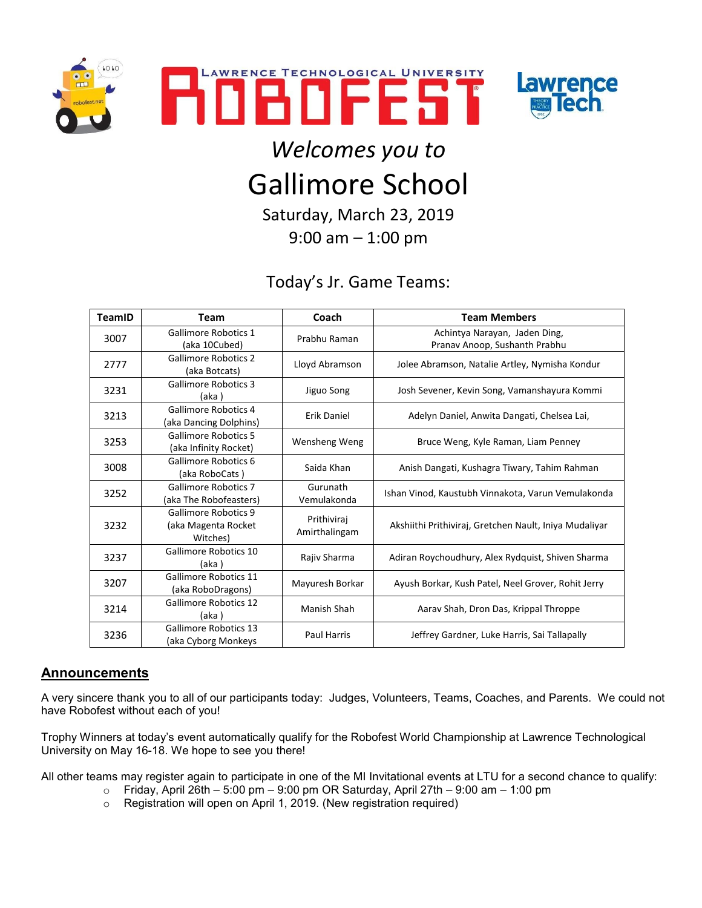





## *Welcomes you to* Gallimore School

Saturday, March 23, 2019 9:00 am – 1:00 pm

## Today's Jr. Game Teams:

| TeamID | <b>Team</b>                                             | Coach                        | <b>Team Members</b>                                            |
|--------|---------------------------------------------------------|------------------------------|----------------------------------------------------------------|
| 3007   | <b>Gallimore Robotics 1</b><br>(aka 10Cubed)            | Prabhu Raman                 | Achintya Narayan, Jaden Ding,<br>Pranav Anoop, Sushanth Prabhu |
| 2777   | <b>Gallimore Robotics 2</b><br>(aka Botcats)            | Lloyd Abramson               | Jolee Abramson, Natalie Artley, Nymisha Kondur                 |
| 3231   | <b>Gallimore Robotics 3</b><br>(aka)                    | Jiguo Song                   | Josh Sevener, Kevin Song, Vamanshayura Kommi                   |
| 3213   | <b>Gallimore Robotics 4</b><br>(aka Dancing Dolphins)   | Erik Daniel                  | Adelyn Daniel, Anwita Dangati, Chelsea Lai,                    |
| 3253   | <b>Gallimore Robotics 5</b><br>(aka Infinity Rocket)    | Wensheng Weng                | Bruce Weng, Kyle Raman, Liam Penney                            |
| 3008   | Gallimore Robotics 6<br>(aka RoboCats)                  | Saida Khan                   | Anish Dangati, Kushagra Tiwary, Tahim Rahman                   |
| 3252   | <b>Gallimore Robotics 7</b><br>(aka The Robofeasters)   | Gurunath<br>Vemulakonda      | Ishan Vinod, Kaustubh Vinnakota, Varun Vemulakonda             |
| 3232   | Gallimore Robotics 9<br>(aka Magenta Rocket<br>Witches) | Prithiviraj<br>Amirthalingam | Akshiithi Prithiviraj, Gretchen Nault, Iniya Mudaliyar         |
| 3237   | Gallimore Robotics 10<br>(aka)                          | Rajiv Sharma                 | Adiran Roychoudhury, Alex Rydquist, Shiven Sharma              |
| 3207   | <b>Gallimore Robotics 11</b><br>(aka RoboDragons)       | Mayuresh Borkar              | Ayush Borkar, Kush Patel, Neel Grover, Rohit Jerry             |
| 3214   | <b>Gallimore Robotics 12</b><br>(aka)                   | Manish Shah                  | Aarav Shah, Dron Das, Krippal Throppe                          |
| 3236   | Gallimore Robotics 13<br>(aka Cyborg Monkeys            | <b>Paul Harris</b>           | Jeffrey Gardner, Luke Harris, Sai Tallapally                   |

## **Announcements**

A very sincere thank you to all of our participants today: Judges, Volunteers, Teams, Coaches, and Parents. We could not have Robofest without each of you!

Trophy Winners at today's event automatically qualify for the Robofest World Championship at Lawrence Technological University on May 16-18. We hope to see you there!

All other teams may register again to participate in one of the MI Invitational events at LTU for a second chance to qualify:

- $\circ$  Friday, April 26th 5:00 pm 9:00 pm OR Saturday, April 27th 9:00 am 1:00 pm
- o Registration will open on April 1, 2019. (New registration required)